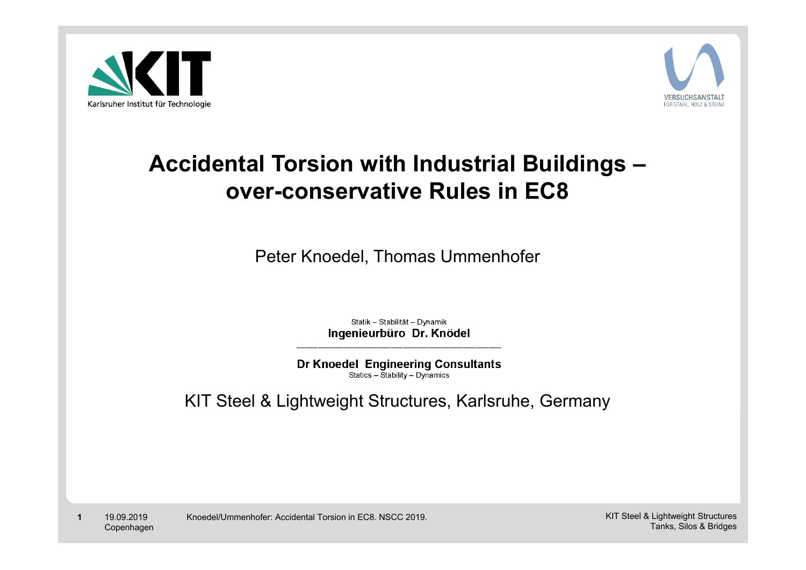



#### **Accidental Torsion with Industrial Buildings – over-conservative Rules in EC8**

Peter Knoedel, Thomas Ummenhofer

Statik - Stabilität - Dynamik Ingenieurbüro Dr. Knödel

**Dr Knoedel Engineering Consultants** Statics - Stability - Dynamics

KIT Steel & Lightweight Structures, Karlsruhe, Germany

**1** 19.09.2019 Copenhagen Knoedel/Ummenhofer: Accidental Torsion in EC8. NSCC 2019. KIT Steel & Lightweight Structures Tanks, Silos & Bridges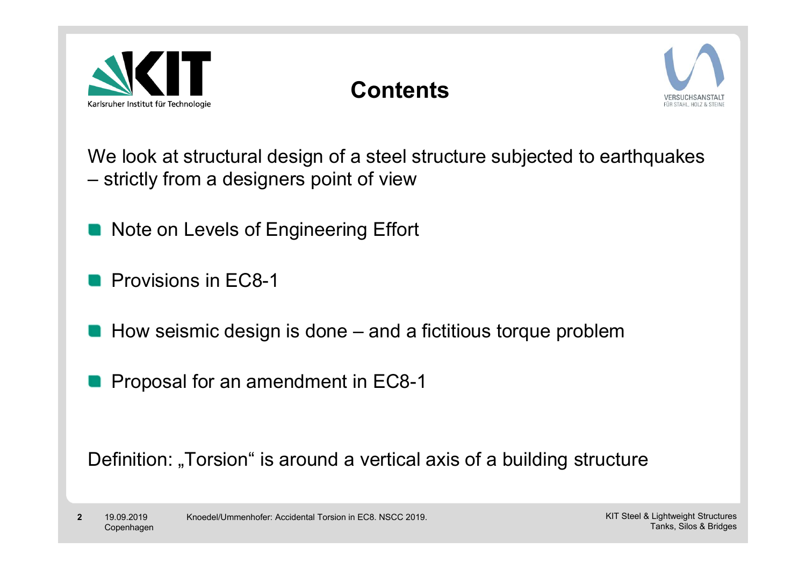

# **Contents**



We look at structural design of a steel structure subjected to earthquakes strictly from a designers point of view

- Note on Levels of Engineering Effort
- **Provisions in FC8-1**
- $\blacksquare$  How seismic design is done  $-$  and a fictitious torque problem
- **Proposal for an amendment in EC8-1**

Definition: "Torsion" is around a vertical axis of a building structure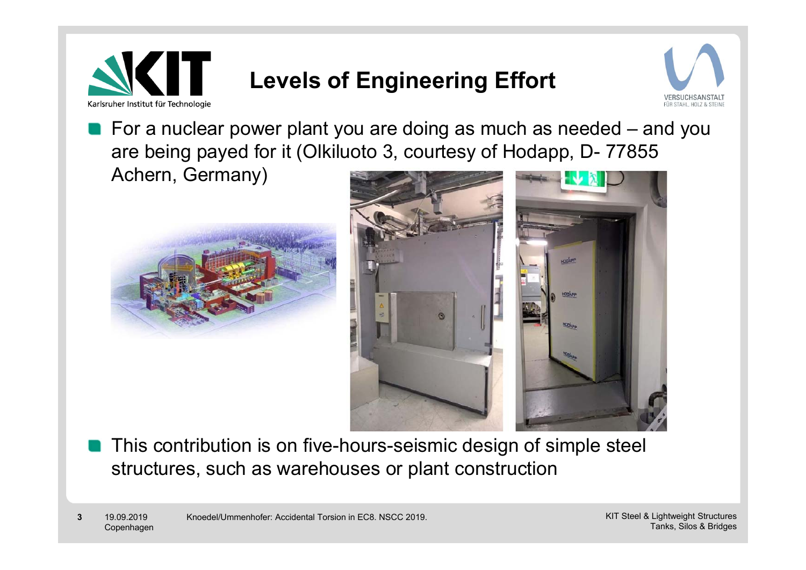

# **Levels of Engineering Effort**



**For a nuclear power plant you are doing as much as needed – and you** are being payed for it (Olkiluoto 3, courtesy of Hodapp, D- 77855 Achern, Germany)





This contribution is on five-hours-seismic design of simple steel structures, such as warehouses or plant construction

**3** 19.09.2019 Copenhagen Knoedel/Ummenhofer: Accidental Torsion in EC8. NSCC 2019. KIT Steel & Lightweight Structures Tanks, Silos & Bridges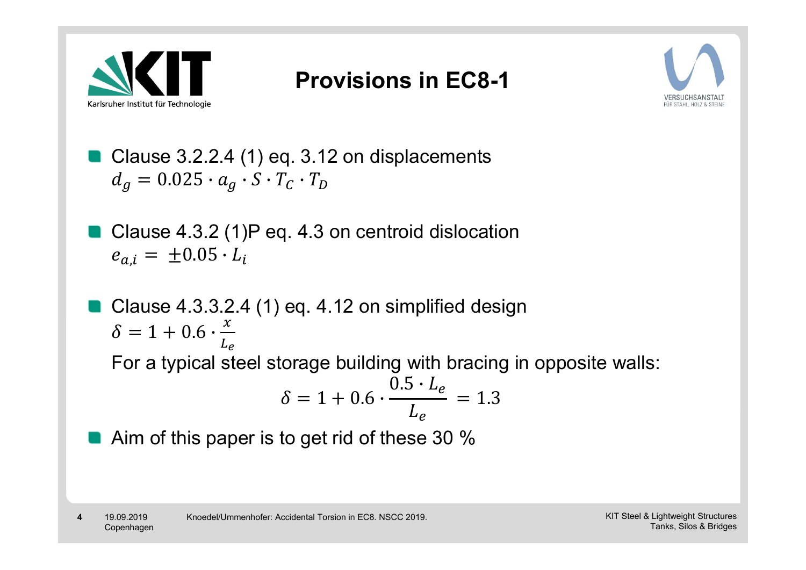

### **Provisions in EC8-1**



- Clause 3.2.2.4 (1) eq. 3.12 on displacements  $d_q = 0.025 \cdot a_q \cdot S \cdot T_c \cdot T_D$
- Clause 4.3.2 (1)P eq. 4.3 on centroid dislocation  $e_{a,i} = \pm 0.05 \cdot L_i$
- Clause 4.3.3.2.4 (1) eq. 4.12 on simplified design  $\delta = 1 + 0.6 \cdot \frac{x}{y}$  $L_{\boldsymbol e}$ For a typical steel storage building with bracing in opposite walls:  $\delta = 1 + 0.6 \cdot$  $\frac{0.5 \cdot L_e}{L_e} = 1.3$
- Aim of this paper is to get rid of these 30 %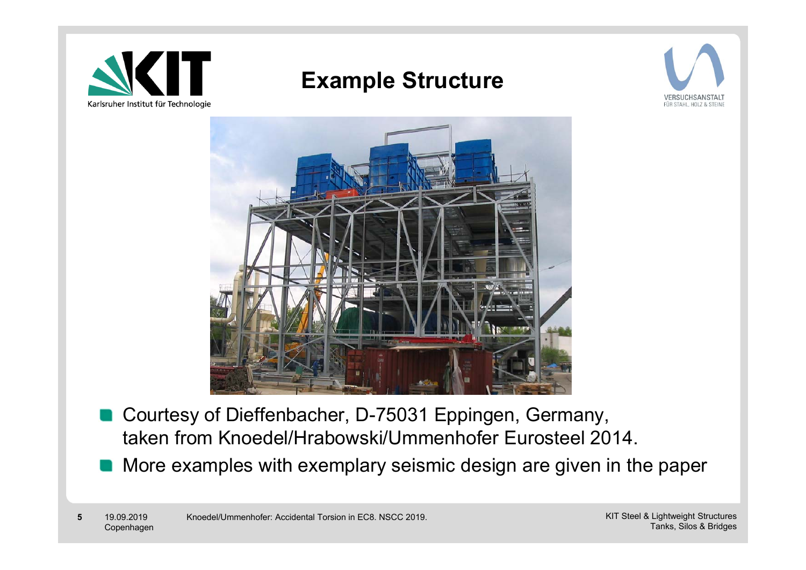

### **Example Structure**





- Courtesy of Dieffenbacher, D-75031 Eppingen, Germany, taken from Knoedel/Hrabowski/Ummenhofer Eurosteel 2014.
- More examples with exemplary seismic design are given in the paper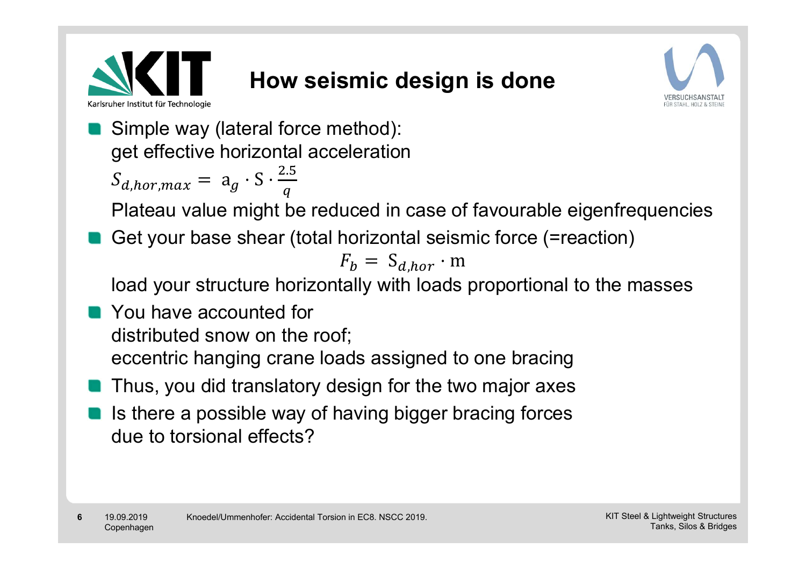

# **How seismic design is done**



Simple way (lateral force method): get effective horizontal acceleration  $S_{d,hor,max} = a_g \cdot S \cdot \frac{2.5}{a}$ 

Plateau value might be reduced in case of favourable eigenfrequencies

Get your base shear (total horizontal seismic force (=reaction)

$$
F_b = S_{d,hor} \cdot m
$$

load your structure horizontally with loads proportional to the masses

- You have accounted for distributed snow on the roof; eccentric hanging crane loads assigned to one bracing
- Thus, you did translatory design for the two major axes
- Is there a possible way of having bigger bracing forces due to torsional effects?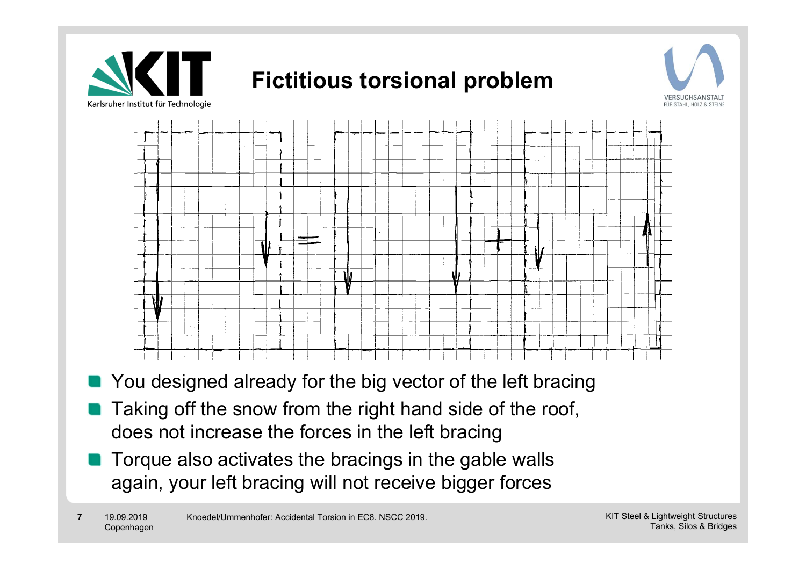

- You designed already for the big vector of the left bracing
- Taking off the snow from the right hand side of the roof, **COL** does not increase the forces in the left bracing
- Torque also activates the bracings in the gable walls again, your left bracing will not receive bigger forces